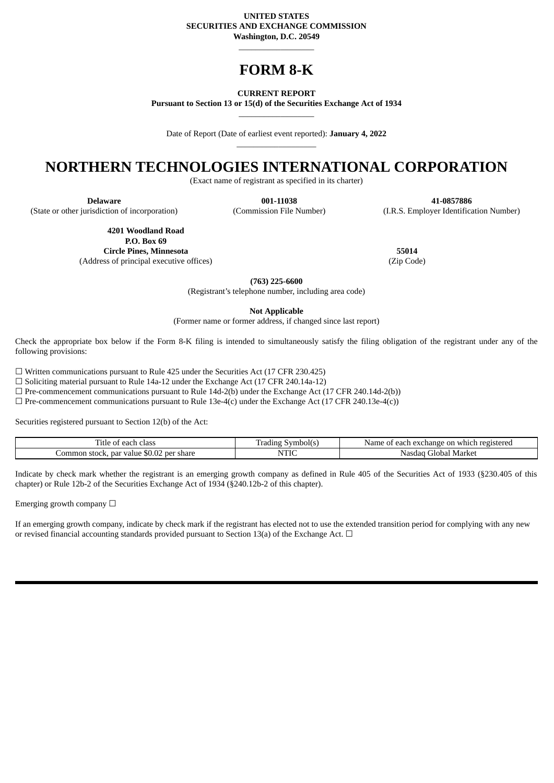#### **UNITED STATES SECURITIES AND EXCHANGE COMMISSION Washington, D.C. 20549**

# **FORM 8-K**

\_\_\_\_\_\_\_\_\_\_\_\_\_\_\_\_\_\_

**CURRENT REPORT**

**Pursuant to Section 13 or 15(d) of the Securities Exchange Act of 1934**  $\_$ 

Date of Report (Date of earliest event reported): **January 4, 2022** \_\_\_\_\_\_\_\_\_\_\_\_\_\_\_\_\_\_\_

## **NORTHERN TECHNOLOGIES INTERNATIONAL CORPORATION**

(Exact name of registrant as specified in its charter)

(State or other jurisdiction of incorporation) (Commission File Number) (I.R.S. Employer Identification Number)

**4201 Woodland Road P.O. Box 69 Circle Pines, Minnesota 55014**

(Address of principal executive offices) (Zip Code)

**Delaware 001-11038 41-0857886**

**(763) 225-6600**

(Registrant's telephone number, including area code)

**Not Applicable**

(Former name or former address, if changed since last report)

Check the appropriate box below if the Form 8-K filing is intended to simultaneously satisfy the filing obligation of the registrant under any of the following provisions:

☐ Written communications pursuant to Rule 425 under the Securities Act (17 CFR 230.425)

☐ Soliciting material pursuant to Rule 14a-12 under the Exchange Act (17 CFR 240.14a-12)

☐ Pre-commencement communications pursuant to Rule 14d-2(b) under the Exchange Act (17 CFR 240.14d-2(b))

 $\Box$  Pre-commencement communications pursuant to Rule 13e-4(c) under the Exchange Act (17 CFR 240.13e-4(c))

Securities registered pursuant to Section 12(b) of the Act:

| ritle<br>class<br>each<br>Ωt                                                | Symbol(s)<br>Tradıng | registered r<br>າ exchange on<br>each<br>Name<br>0t<br>≅which ∶ |
|-----------------------------------------------------------------------------|----------------------|-----------------------------------------------------------------|
| $\sim$ $\sim$<br>-per share<br>. par value<br>. stock.<br>. .ommon<br>DU.UZ | NTIC                 | Market<br>™obar<br>Nasciac<br>тН                                |

Indicate by check mark whether the registrant is an emerging growth company as defined in Rule 405 of the Securities Act of 1933 (§230.405 of this chapter) or Rule 12b-2 of the Securities Exchange Act of 1934 (§240.12b-2 of this chapter).

Emerging growth company  $\Box$ 

If an emerging growth company, indicate by check mark if the registrant has elected not to use the extended transition period for complying with any new or revised financial accounting standards provided pursuant to Section 13(a) of the Exchange Act.  $\Box$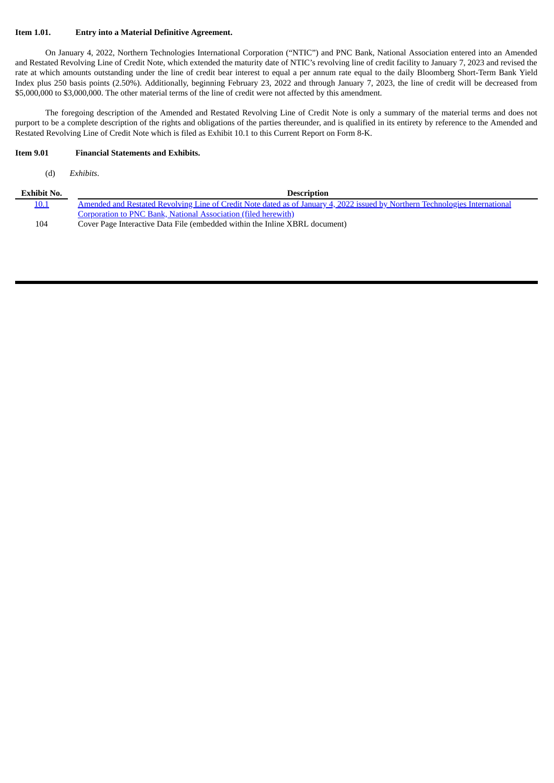#### **Item 1.01. Entry into a Material Definitive Agreement.**

On January 4, 2022, Northern Technologies International Corporation ("NTIC") and PNC Bank, National Association entered into an Amended and Restated Revolving Line of Credit Note, which extended the maturity date of NTIC's revolving line of credit facility to January 7, 2023 and revised the rate at which amounts outstanding under the line of credit bear interest to equal a per annum rate equal to the daily Bloomberg Short-Term Bank Yield Index plus 250 basis points (2.50%). Additionally, beginning February 23, 2022 and through January 7, 2023, the line of credit will be decreased from \$5,000,000 to \$3,000,000. The other material terms of the line of credit were not affected by this amendment.

The foregoing description of the Amended and Restated Revolving Line of Credit Note is only a summary of the material terms and does not purport to be a complete description of the rights and obligations of the parties thereunder, and is qualified in its entirety by reference to the Amended and Restated Revolving Line of Credit Note which is filed as Exhibit 10.1 to this Current Report on Form 8-K.

### **Item 9.01 Financial Statements and Exhibits.**

(d) *Exhibits*.

| Exhibit No. | <b>Description</b>                                                                                                           |
|-------------|------------------------------------------------------------------------------------------------------------------------------|
| 10.1        | Amended and Restated Revolving Line of Credit Note dated as of January 4, 2022 issued by Northern Technologies International |
|             | Corporation to PNC Bank, National Association (filed herewith)                                                               |
| 104         | Cover Page Interactive Data File (embedded within the Inline XBRL document)                                                  |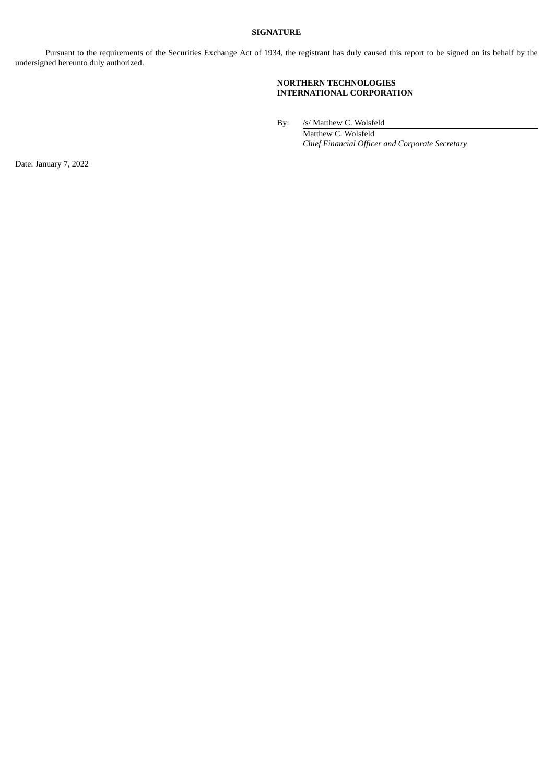## **SIGNATURE**

Pursuant to the requirements of the Securities Exchange Act of 1934, the registrant has duly caused this report to be signed on its behalf by the undersigned hereunto duly authorized.

## **NORTHERN TECHNOLOGIES INTERNATIONAL CORPORATION**

By: /s/ Matthew C. Wolsfeld

Matthew C. Wolsfeld *Chief Financial Officer and Corporate Secretary*

Date: January 7, 2022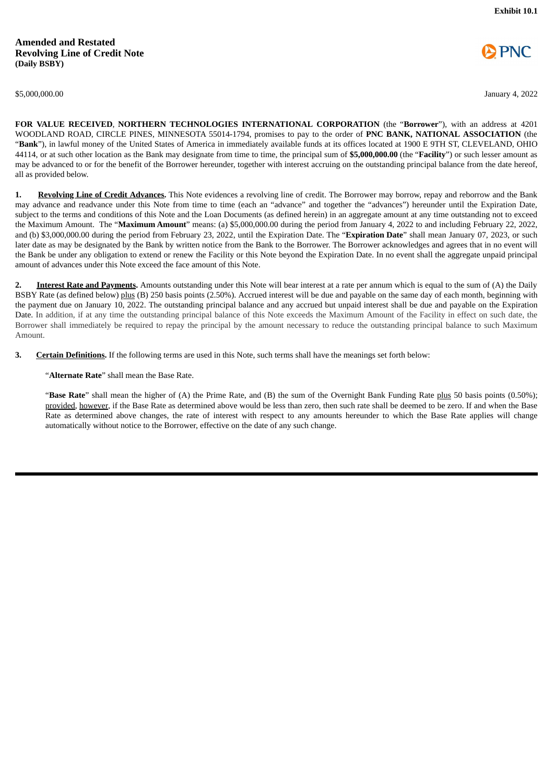<span id="page-3-0"></span>



\$5,000,000.00 January 4, 2022

**FOR VALUE RECEIVED**, **NORTHERN TECHNOLOGIES INTERNATIONAL CORPORATION** (the "**Borrower**"), with an address at 4201 WOODLAND ROAD, CIRCLE PINES, MINNESOTA 55014-1794, promises to pay to the order of **PNC BANK, NATIONAL ASSOCIATION** (the "**Bank**"), in lawful money of the United States of America in immediately available funds at its offices located at 1900 E 9TH ST, CLEVELAND, OHIO 44114, or at such other location as the Bank may designate from time to time, the principal sum of **\$5,000,000.00** (the "**Facility**") or such lesser amount as may be advanced to or for the benefit of the Borrower hereunder, together with interest accruing on the outstanding principal balance from the date hereof, all as provided below.

**1. Revolving Line of Credit Advances.** This Note evidences a revolving line of credit. The Borrower may borrow, repay and reborrow and the Bank may advance and readvance under this Note from time to time (each an "advance" and together the "advances") hereunder until the Expiration Date, subject to the terms and conditions of this Note and the Loan Documents (as defined herein) in an aggregate amount at any time outstanding not to exceed the Maximum Amount. The "**Maximum Amount**" means: (a) \$5,000,000.00 during the period from January 4, 2022 to and including February 22, 2022, and (b) \$3,000,000.00 during the period from February 23, 2022, until the Expiration Date. The "**Expiration Date**" shall mean January 07, 2023, or such later date as may be designated by the Bank by written notice from the Bank to the Borrower. The Borrower acknowledges and agrees that in no event will the Bank be under any obligation to extend or renew the Facility or this Note beyond the Expiration Date. In no event shall the aggregate unpaid principal amount of advances under this Note exceed the face amount of this Note.

**2. Interest Rate and Payments.** Amounts outstanding under this Note will bear interest at a rate per annum which is equal to the sum of (A) the Daily BSBY Rate (as defined below) plus (B) 250 basis points (2.50%). Accrued interest will be due and payable on the same day of each month, beginning with the payment due on January 10, 2022. The outstanding principal balance and any accrued but unpaid interest shall be due and payable on the Expiration Date. In addition, if at any time the outstanding principal balance of this Note exceeds the Maximum Amount of the Facility in effect on such date, the Borrower shall immediately be required to repay the principal by the amount necessary to reduce the outstanding principal balance to such Maximum Amount.

**3. Certain Definitions.** If the following terms are used in this Note, such terms shall have the meanings set forth below:

"**Alternate Rate**" shall mean the Base Rate.

"Base Rate" shall mean the higher of (A) the Prime Rate, and (B) the sum of the Overnight Bank Funding Rate plus 50 basis points (0.50%); provided, however, if the Base Rate as determined above would be less than zero, then such rate shall be deemed to be zero. If and when the Base Rate as determined above changes, the rate of interest with respect to any amounts hereunder to which the Base Rate applies will change automatically without notice to the Borrower, effective on the date of any such change.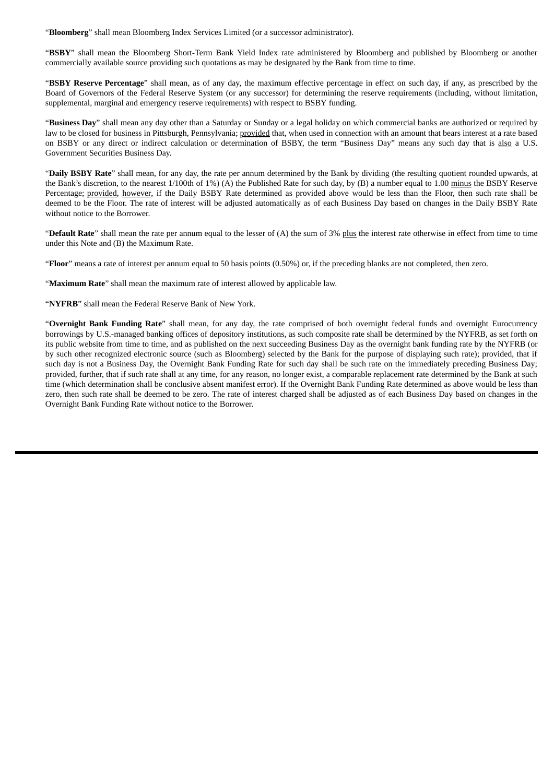"**Bloomberg**" shall mean Bloomberg Index Services Limited (or a successor administrator).

"**BSBY**" shall mean the Bloomberg Short-Term Bank Yield Index rate administered by Bloomberg and published by Bloomberg or another commercially available source providing such quotations as may be designated by the Bank from time to time.

"**BSBY Reserve Percentage**" shall mean, as of any day, the maximum effective percentage in effect on such day, if any, as prescribed by the Board of Governors of the Federal Reserve System (or any successor) for determining the reserve requirements (including, without limitation, supplemental, marginal and emergency reserve requirements) with respect to BSBY funding.

"**Business Day**" shall mean any day other than a Saturday or Sunday or a legal holiday on which commercial banks are authorized or required by law to be closed for business in Pittsburgh, Pennsylvania; provided that, when used in connection with an amount that bears interest at a rate based on BSBY or any direct or indirect calculation or determination of BSBY, the term "Business Day" means any such day that is also a U.S. Government Securities Business Day.

"**Daily BSBY Rate**" shall mean, for any day, the rate per annum determined by the Bank by dividing (the resulting quotient rounded upwards, at the Bank's discretion, to the nearest 1/100th of 1%) (A) the Published Rate for such day, by (B) a number equal to 1.00 minus the BSBY Reserve Percentage; provided, however, if the Daily BSBY Rate determined as provided above would be less than the Floor, then such rate shall be deemed to be the Floor. The rate of interest will be adjusted automatically as of each Business Day based on changes in the Daily BSBY Rate without notice to the Borrower.

"**Default Rate**" shall mean the rate per annum equal to the lesser of (A) the sum of 3% plus the interest rate otherwise in effect from time to time under this Note and (B) the Maximum Rate.

"**Floor**" means a rate of interest per annum equal to 50 basis points (0.50%) or, if the preceding blanks are not completed, then zero.

"**Maximum Rate**" shall mean the maximum rate of interest allowed by applicable law.

"**NYFRB**" shall mean the Federal Reserve Bank of New York.

"**Overnight Bank Funding Rate**" shall mean, for any day, the rate comprised of both overnight federal funds and overnight Eurocurrency borrowings by U.S.-managed banking offices of depository institutions, as such composite rate shall be determined by the NYFRB, as set forth on its public website from time to time, and as published on the next succeeding Business Day as the overnight bank funding rate by the NYFRB (or by such other recognized electronic source (such as Bloomberg) selected by the Bank for the purpose of displaying such rate); provided, that if such day is not a Business Day, the Overnight Bank Funding Rate for such day shall be such rate on the immediately preceding Business Day; provided, further, that if such rate shall at any time, for any reason, no longer exist, a comparable replacement rate determined by the Bank at such time (which determination shall be conclusive absent manifest error). If the Overnight Bank Funding Rate determined as above would be less than zero, then such rate shall be deemed to be zero. The rate of interest charged shall be adjusted as of each Business Day based on changes in the Overnight Bank Funding Rate without notice to the Borrower.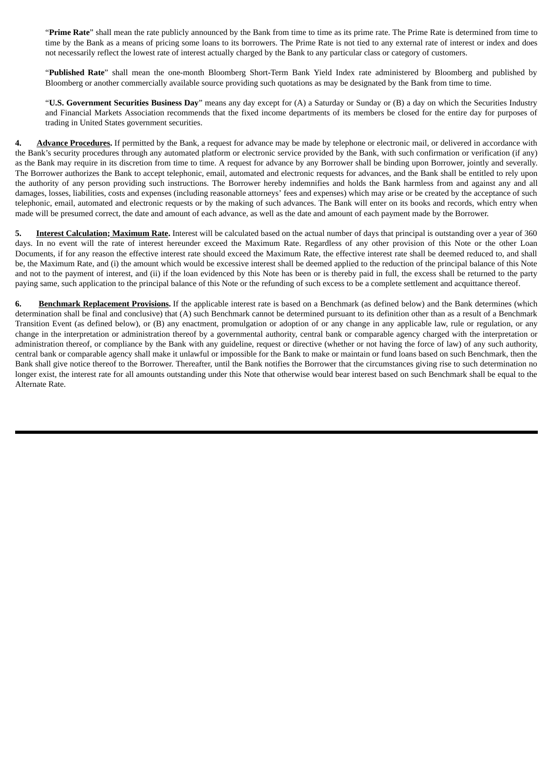"**Prime Rate**" shall mean the rate publicly announced by the Bank from time to time as its prime rate. The Prime Rate is determined from time to time by the Bank as a means of pricing some loans to its borrowers. The Prime Rate is not tied to any external rate of interest or index and does not necessarily reflect the lowest rate of interest actually charged by the Bank to any particular class or category of customers.

"**Published Rate**" shall mean the one-month Bloomberg Short-Term Bank Yield Index rate administered by Bloomberg and published by Bloomberg or another commercially available source providing such quotations as may be designated by the Bank from time to time.

"**U.S. Government Securities Business Day**" means any day except for (A) a Saturday or Sunday or (B) a day on which the Securities Industry and Financial Markets Association recommends that the fixed income departments of its members be closed for the entire day for purposes of trading in United States government securities.

**4. Advance Procedures.** If permitted by the Bank, a request for advance may be made by telephone or electronic mail, or delivered in accordance with the Bank's security procedures through any automated platform or electronic service provided by the Bank, with such confirmation or verification (if any) as the Bank may require in its discretion from time to time. A request for advance by any Borrower shall be binding upon Borrower, jointly and severally. The Borrower authorizes the Bank to accept telephonic, email, automated and electronic requests for advances, and the Bank shall be entitled to rely upon the authority of any person providing such instructions. The Borrower hereby indemnifies and holds the Bank harmless from and against any and all damages, losses, liabilities, costs and expenses (including reasonable attorneys' fees and expenses) which may arise or be created by the acceptance of such telephonic, email, automated and electronic requests or by the making of such advances. The Bank will enter on its books and records, which entry when made will be presumed correct, the date and amount of each advance, as well as the date and amount of each payment made by the Borrower.

**5. Interest Calculation; Maximum Rate.** Interest will be calculated based on the actual number of days that principal is outstanding over a year of 360 days. In no event will the rate of interest hereunder exceed the Maximum Rate. Regardless of any other provision of this Note or the other Loan Documents, if for any reason the effective interest rate should exceed the Maximum Rate, the effective interest rate shall be deemed reduced to, and shall be, the Maximum Rate, and (i) the amount which would be excessive interest shall be deemed applied to the reduction of the principal balance of this Note and not to the payment of interest, and (ii) if the loan evidenced by this Note has been or is thereby paid in full, the excess shall be returned to the party paying same, such application to the principal balance of this Note or the refunding of such excess to be a complete settlement and acquittance thereof.

**6. Benchmark Replacement Provisions.** If the applicable interest rate is based on a Benchmark (as defined below) and the Bank determines (which determination shall be final and conclusive) that (A) such Benchmark cannot be determined pursuant to its definition other than as a result of a Benchmark Transition Event (as defined below), or (B) any enactment, promulgation or adoption of or any change in any applicable law, rule or regulation, or any change in the interpretation or administration thereof by a governmental authority, central bank or comparable agency charged with the interpretation or administration thereof, or compliance by the Bank with any guideline, request or directive (whether or not having the force of law) of any such authority, central bank or comparable agency shall make it unlawful or impossible for the Bank to make or maintain or fund loans based on such Benchmark, then the Bank shall give notice thereof to the Borrower. Thereafter, until the Bank notifies the Borrower that the circumstances giving rise to such determination no longer exist, the interest rate for all amounts outstanding under this Note that otherwise would bear interest based on such Benchmark shall be equal to the Alternate Rate.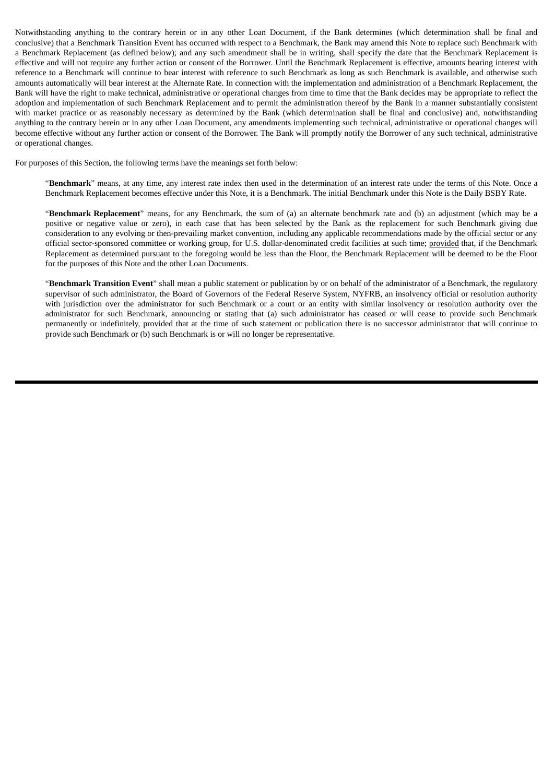Notwithstanding anything to the contrary herein or in any other Loan Document, if the Bank determines (which determination shall be final and conclusive) that a Benchmark Transition Event has occurred with respect to a Benchmark, the Bank may amend this Note to replace such Benchmark with a Benchmark Replacement (as defined below); and any such amendment shall be in writing, shall specify the date that the Benchmark Replacement is effective and will not require any further action or consent of the Borrower. Until the Benchmark Replacement is effective, amounts bearing interest with reference to a Benchmark will continue to bear interest with reference to such Benchmark as long as such Benchmark is available, and otherwise such amounts automatically will bear interest at the Alternate Rate. In connection with the implementation and administration of a Benchmark Replacement, the Bank will have the right to make technical, administrative or operational changes from time to time that the Bank decides may be appropriate to reflect the adoption and implementation of such Benchmark Replacement and to permit the administration thereof by the Bank in a manner substantially consistent with market practice or as reasonably necessary as determined by the Bank (which determination shall be final and conclusive) and, notwithstanding anything to the contrary herein or in any other Loan Document, any amendments implementing such technical, administrative or operational changes will become effective without any further action or consent of the Borrower. The Bank will promptly notify the Borrower of any such technical, administrative or operational changes.

For purposes of this Section, the following terms have the meanings set forth below:

"**Benchmark**" means, at any time, any interest rate index then used in the determination of an interest rate under the terms of this Note. Once a Benchmark Replacement becomes effective under this Note, it is a Benchmark. The initial Benchmark under this Note is the Daily BSBY Rate.

"**Benchmark Replacement**" means, for any Benchmark, the sum of (a) an alternate benchmark rate and (b) an adjustment (which may be a positive or negative value or zero), in each case that has been selected by the Bank as the replacement for such Benchmark giving due consideration to any evolving or then-prevailing market convention, including any applicable recommendations made by the official sector or any official sector-sponsored committee or working group, for U.S. dollar-denominated credit facilities at such time; provided that, if the Benchmark Replacement as determined pursuant to the foregoing would be less than the Floor, the Benchmark Replacement will be deemed to be the Floor for the purposes of this Note and the other Loan Documents.

"**Benchmark Transition Event**" shall mean a public statement or publication by or on behalf of the administrator of a Benchmark, the regulatory supervisor of such administrator, the Board of Governors of the Federal Reserve System, NYFRB, an insolvency official or resolution authority with jurisdiction over the administrator for such Benchmark or a court or an entity with similar insolvency or resolution authority over the administrator for such Benchmark, announcing or stating that (a) such administrator has ceased or will cease to provide such Benchmark permanently or indefinitely, provided that at the time of such statement or publication there is no successor administrator that will continue to provide such Benchmark or (b) such Benchmark is or will no longer be representative.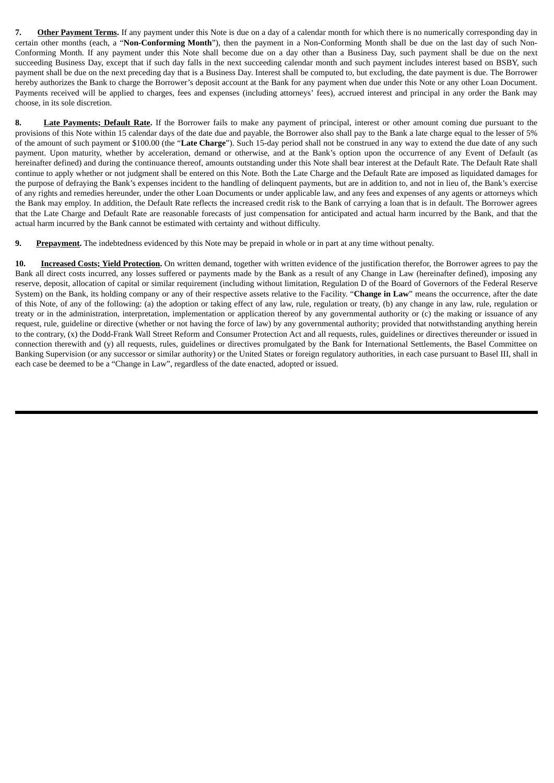**7. Other Payment Terms.** If any payment under this Note is due on a day of a calendar month for which there is no numerically corresponding day in certain other months (each, a "**Non-Conforming Month**"), then the payment in a Non-Conforming Month shall be due on the last day of such Non-Conforming Month. If any payment under this Note shall become due on a day other than a Business Day, such payment shall be due on the next succeeding Business Day, except that if such day falls in the next succeeding calendar month and such payment includes interest based on BSBY, such payment shall be due on the next preceding day that is a Business Day. Interest shall be computed to, but excluding, the date payment is due. The Borrower hereby authorizes the Bank to charge the Borrower's deposit account at the Bank for any payment when due under this Note or any other Loan Document. Payments received will be applied to charges, fees and expenses (including attorneys' fees), accrued interest and principal in any order the Bank may choose, in its sole discretion.

**8. Late Payments; Default Rate.** If the Borrower fails to make any payment of principal, interest or other amount coming due pursuant to the provisions of this Note within 15 calendar days of the date due and payable, the Borrower also shall pay to the Bank a late charge equal to the lesser of 5% of the amount of such payment or \$100.00 (the "**Late Charge**"). Such 15-day period shall not be construed in any way to extend the due date of any such payment. Upon maturity, whether by acceleration, demand or otherwise, and at the Bank's option upon the occurrence of any Event of Default (as hereinafter defined) and during the continuance thereof, amounts outstanding under this Note shall bear interest at the Default Rate. The Default Rate shall continue to apply whether or not judgment shall be entered on this Note. Both the Late Charge and the Default Rate are imposed as liquidated damages for the purpose of defraying the Bank's expenses incident to the handling of delinquent payments, but are in addition to, and not in lieu of, the Bank's exercise of any rights and remedies hereunder, under the other Loan Documents or under applicable law, and any fees and expenses of any agents or attorneys which the Bank may employ. In addition, the Default Rate reflects the increased credit risk to the Bank of carrying a loan that is in default. The Borrower agrees that the Late Charge and Default Rate are reasonable forecasts of just compensation for anticipated and actual harm incurred by the Bank, and that the actual harm incurred by the Bank cannot be estimated with certainty and without difficulty.

**9. Prepayment.** The indebtedness evidenced by this Note may be prepaid in whole or in part at any time without penalty.

**10. Increased Costs; Yield Protection.** On written demand, together with written evidence of the justification therefor, the Borrower agrees to pay the Bank all direct costs incurred, any losses suffered or payments made by the Bank as a result of any Change in Law (hereinafter defined), imposing any reserve, deposit, allocation of capital or similar requirement (including without limitation, Regulation D of the Board of Governors of the Federal Reserve System) on the Bank, its holding company or any of their respective assets relative to the Facility. "**Change in Law**" means the occurrence, after the date of this Note, of any of the following: (a) the adoption or taking effect of any law, rule, regulation or treaty, (b) any change in any law, rule, regulation or treaty or in the administration, interpretation, implementation or application thereof by any governmental authority or (c) the making or issuance of any request, rule, guideline or directive (whether or not having the force of law) by any governmental authority; provided that notwithstanding anything herein to the contrary, (x) the Dodd-Frank Wall Street Reform and Consumer Protection Act and all requests, rules, guidelines or directives thereunder or issued in connection therewith and (y) all requests, rules, guidelines or directives promulgated by the Bank for International Settlements, the Basel Committee on Banking Supervision (or any successor or similar authority) or the United States or foreign regulatory authorities, in each case pursuant to Basel III, shall in each case be deemed to be a "Change in Law", regardless of the date enacted, adopted or issued.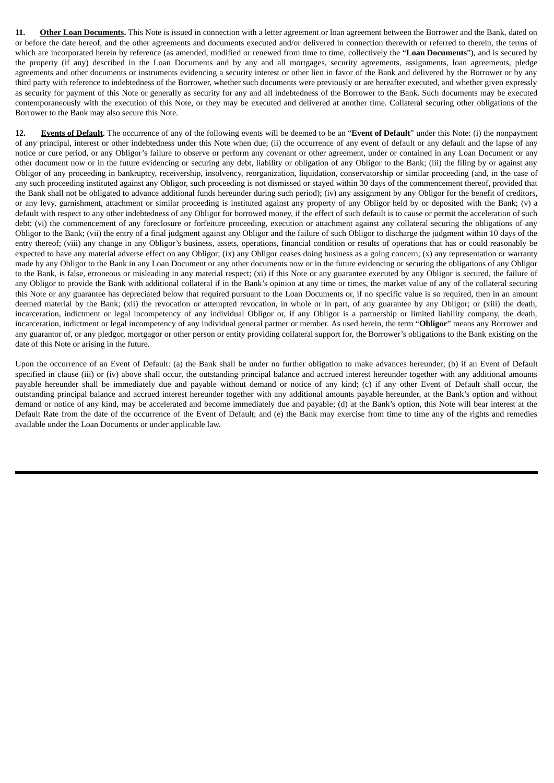**11. Other Loan Documents.** This Note is issued in connection with a letter agreement or loan agreement between the Borrower and the Bank, dated on or before the date hereof, and the other agreements and documents executed and/or delivered in connection therewith or referred to therein, the terms of which are incorporated herein by reference (as amended, modified or renewed from time to time, collectively the "**Loan Documents**"), and is secured by the property (if any) described in the Loan Documents and by any and all mortgages, security agreements, assignments, loan agreements, pledge agreements and other documents or instruments evidencing a security interest or other lien in favor of the Bank and delivered by the Borrower or by any third party with reference to indebtedness of the Borrower, whether such documents were previously or are hereafter executed, and whether given expressly as security for payment of this Note or generally as security for any and all indebtedness of the Borrower to the Bank. Such documents may be executed contemporaneously with the execution of this Note, or they may be executed and delivered at another time. Collateral securing other obligations of the Borrower to the Bank may also secure this Note.

**12. Events of Default.** The occurrence of any of the following events will be deemed to be an "**Event of Default**" under this Note: (i) the nonpayment of any principal, interest or other indebtedness under this Note when due; (ii) the occurrence of any event of default or any default and the lapse of any notice or cure period, or any Obligor's failure to observe or perform any covenant or other agreement, under or contained in any Loan Document or any other document now or in the future evidencing or securing any debt, liability or obligation of any Obligor to the Bank; (iii) the filing by or against any Obligor of any proceeding in bankruptcy, receivership, insolvency, reorganization, liquidation, conservatorship or similar proceeding (and, in the case of any such proceeding instituted against any Obligor, such proceeding is not dismissed or stayed within 30 days of the commencement thereof, provided that the Bank shall not be obligated to advance additional funds hereunder during such period); (iv) any assignment by any Obligor for the benefit of creditors, or any levy, garnishment, attachment or similar proceeding is instituted against any property of any Obligor held by or deposited with the Bank; (v) a default with respect to any other indebtedness of any Obligor for borrowed money, if the effect of such default is to cause or permit the acceleration of such debt; (vi) the commencement of any foreclosure or forfeiture proceeding, execution or attachment against any collateral securing the obligations of any Obligor to the Bank; (vii) the entry of a final judgment against any Obligor and the failure of such Obligor to discharge the judgment within 10 days of the entry thereof; (viii) any change in any Obligor's business, assets, operations, financial condition or results of operations that has or could reasonably be expected to have any material adverse effect on any Obligor; (ix) any Obligor ceases doing business as a going concern; (x) any representation or warranty made by any Obligor to the Bank in any Loan Document or any other documents now or in the future evidencing or securing the obligations of any Obligor to the Bank, is false, erroneous or misleading in any material respect; (xi) if this Note or any guarantee executed by any Obligor is secured, the failure of any Obligor to provide the Bank with additional collateral if in the Bank's opinion at any time or times, the market value of any of the collateral securing this Note or any guarantee has depreciated below that required pursuant to the Loan Documents or, if no specific value is so required, then in an amount deemed material by the Bank; (xii) the revocation or attempted revocation, in whole or in part, of any guarantee by any Obligor; or (xiii) the death, incarceration, indictment or legal incompetency of any individual Obligor or, if any Obligor is a partnership or limited liability company, the death, incarceration, indictment or legal incompetency of any individual general partner or member. As used herein, the term "**Obligor**" means any Borrower and any guarantor of, or any pledgor, mortgagor or other person or entity providing collateral support for, the Borrower's obligations to the Bank existing on the date of this Note or arising in the future.

Upon the occurrence of an Event of Default: (a) the Bank shall be under no further obligation to make advances hereunder; (b) if an Event of Default specified in clause (iii) or (iv) above shall occur, the outstanding principal balance and accrued interest hereunder together with any additional amounts payable hereunder shall be immediately due and payable without demand or notice of any kind; (c) if any other Event of Default shall occur, the outstanding principal balance and accrued interest hereunder together with any additional amounts payable hereunder, at the Bank's option and without demand or notice of any kind, may be accelerated and become immediately due and payable; (d) at the Bank's option, this Note will bear interest at the Default Rate from the date of the occurrence of the Event of Default; and (e) the Bank may exercise from time to time any of the rights and remedies available under the Loan Documents or under applicable law.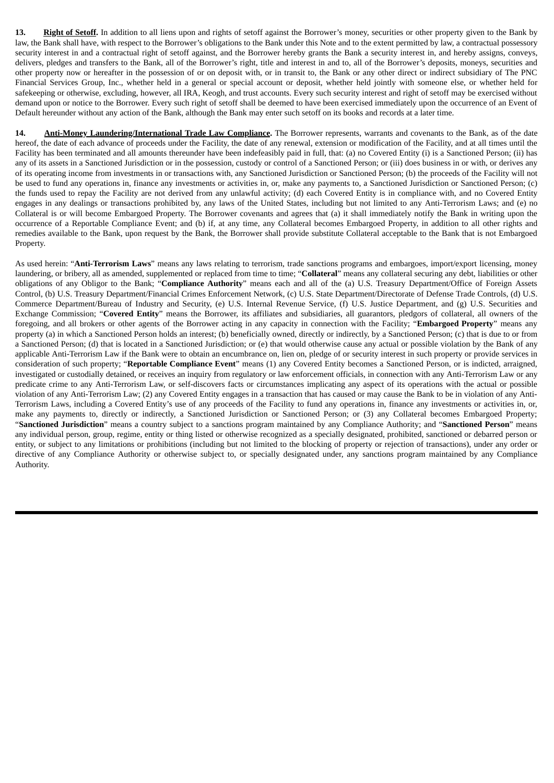**13. Right of Setoff.** In addition to all liens upon and rights of setoff against the Borrower's money, securities or other property given to the Bank by law, the Bank shall have, with respect to the Borrower's obligations to the Bank under this Note and to the extent permitted by law, a contractual possessory security interest in and a contractual right of setoff against, and the Borrower hereby grants the Bank a security interest in, and hereby assigns, conveys, delivers, pledges and transfers to the Bank, all of the Borrower's right, title and interest in and to, all of the Borrower's deposits, moneys, securities and other property now or hereafter in the possession of or on deposit with, or in transit to, the Bank or any other direct or indirect subsidiary of The PNC Financial Services Group, Inc., whether held in a general or special account or deposit, whether held jointly with someone else, or whether held for safekeeping or otherwise, excluding, however, all IRA, Keogh, and trust accounts. Every such security interest and right of setoff may be exercised without demand upon or notice to the Borrower. Every such right of setoff shall be deemed to have been exercised immediately upon the occurrence of an Event of Default hereunder without any action of the Bank, although the Bank may enter such setoff on its books and records at a later time.

**14. Anti-Money Laundering/International Trade Law Compliance.** The Borrower represents, warrants and covenants to the Bank, as of the date hereof, the date of each advance of proceeds under the Facility, the date of any renewal, extension or modification of the Facility, and at all times until the Facility has been terminated and all amounts thereunder have been indefeasibly paid in full, that: (a) no Covered Entity (i) is a Sanctioned Person; (ii) has any of its assets in a Sanctioned Jurisdiction or in the possession, custody or control of a Sanctioned Person; or (iii) does business in or with, or derives any of its operating income from investments in or transactions with, any Sanctioned Jurisdiction or Sanctioned Person; (b) the proceeds of the Facility will not be used to fund any operations in, finance any investments or activities in, or, make any payments to, a Sanctioned Jurisdiction or Sanctioned Person; (c) the funds used to repay the Facility are not derived from any unlawful activity; (d) each Covered Entity is in compliance with, and no Covered Entity engages in any dealings or transactions prohibited by, any laws of the United States, including but not limited to any Anti-Terrorism Laws; and (e) no Collateral is or will become Embargoed Property. The Borrower covenants and agrees that (a) it shall immediately notify the Bank in writing upon the occurrence of a Reportable Compliance Event; and (b) if, at any time, any Collateral becomes Embargoed Property, in addition to all other rights and remedies available to the Bank, upon request by the Bank, the Borrower shall provide substitute Collateral acceptable to the Bank that is not Embargoed Property.

As used herein: "**Anti-Terrorism Laws**" means any laws relating to terrorism, trade sanctions programs and embargoes, import/export licensing, money laundering, or bribery, all as amended, supplemented or replaced from time to time; "**Collateral**" means any collateral securing any debt, liabilities or other obligations of any Obligor to the Bank; "**Compliance Authority**" means each and all of the (a) U.S. Treasury Department/Office of Foreign Assets Control, (b) U.S. Treasury Department/Financial Crimes Enforcement Network, (c) U.S. State Department/Directorate of Defense Trade Controls, (d) U.S. Commerce Department/Bureau of Industry and Security, (e) U.S. Internal Revenue Service, (f) U.S. Justice Department, and (g) U.S. Securities and Exchange Commission; "**Covered Entity**" means the Borrower, its affiliates and subsidiaries, all guarantors, pledgors of collateral, all owners of the foregoing, and all brokers or other agents of the Borrower acting in any capacity in connection with the Facility; "**Embargoed Property**" means any property (a) in which a Sanctioned Person holds an interest; (b) beneficially owned, directly or indirectly, by a Sanctioned Person; (c) that is due to or from a Sanctioned Person; (d) that is located in a Sanctioned Jurisdiction; or (e) that would otherwise cause any actual or possible violation by the Bank of any applicable Anti-Terrorism Law if the Bank were to obtain an encumbrance on, lien on, pledge of or security interest in such property or provide services in consideration of such property; "**Reportable Compliance Event**" means (1) any Covered Entity becomes a Sanctioned Person, or is indicted, arraigned, investigated or custodially detained, or receives an inquiry from regulatory or law enforcement officials, in connection with any Anti-Terrorism Law or any predicate crime to any Anti-Terrorism Law, or self-discovers facts or circumstances implicating any aspect of its operations with the actual or possible violation of any Anti-Terrorism Law; (2) any Covered Entity engages in a transaction that has caused or may cause the Bank to be in violation of any Anti-Terrorism Laws, including a Covered Entity's use of any proceeds of the Facility to fund any operations in, finance any investments or activities in, or, make any payments to, directly or indirectly, a Sanctioned Jurisdiction or Sanctioned Person; or (3) any Collateral becomes Embargoed Property; "**Sanctioned Jurisdiction**" means a country subject to a sanctions program maintained by any Compliance Authority; and "**Sanctioned Person**" means any individual person, group, regime, entity or thing listed or otherwise recognized as a specially designated, prohibited, sanctioned or debarred person or entity, or subject to any limitations or prohibitions (including but not limited to the blocking of property or rejection of transactions), under any order or directive of any Compliance Authority or otherwise subject to, or specially designated under, any sanctions program maintained by any Compliance Authority.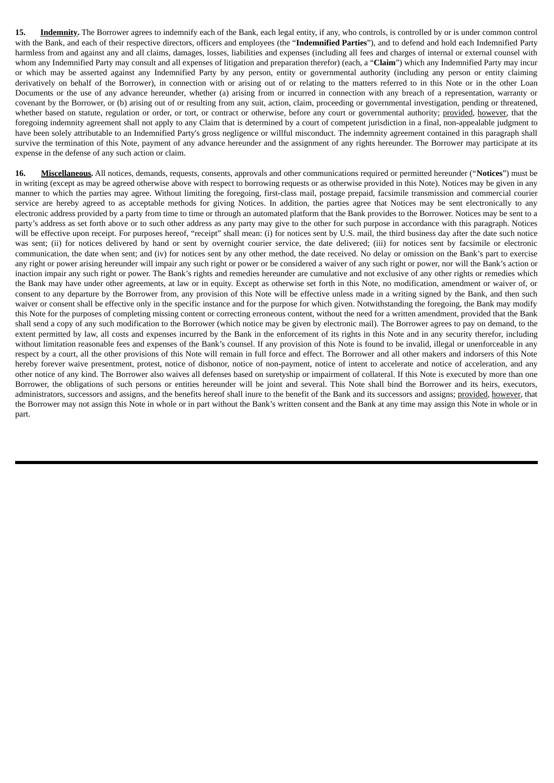**15. Indemnity.** The Borrower agrees to indemnify each of the Bank, each legal entity, if any, who controls, is controlled by or is under common control with the Bank, and each of their respective directors, officers and employees (the "**Indemnified Parties**"), and to defend and hold each Indemnified Party harmless from and against any and all claims, damages, losses, liabilities and expenses (including all fees and charges of internal or external counsel with whom any Indemnified Party may consult and all expenses of litigation and preparation therefor) (each, a "**Claim**") which any Indemnified Party may incur or which may be asserted against any Indemnified Party by any person, entity or governmental authority (including any person or entity claiming derivatively on behalf of the Borrower), in connection with or arising out of or relating to the matters referred to in this Note or in the other Loan Documents or the use of any advance hereunder, whether (a) arising from or incurred in connection with any breach of a representation, warranty or covenant by the Borrower, or (b) arising out of or resulting from any suit, action, claim, proceeding or governmental investigation, pending or threatened, whether based on statute, regulation or order, or tort, or contract or otherwise, before any court or governmental authority; provided, however, that the foregoing indemnity agreement shall not apply to any Claim that is determined by a court of competent jurisdiction in a final, non-appealable judgment to have been solely attributable to an Indemnified Party's gross negligence or willful misconduct. The indemnity agreement contained in this paragraph shall survive the termination of this Note, payment of any advance hereunder and the assignment of any rights hereunder. The Borrower may participate at its expense in the defense of any such action or claim.

**16. Miscellaneous.** All notices, demands, requests, consents, approvals and other communications required or permitted hereunder ("**Notices**") must be in writing (except as may be agreed otherwise above with respect to borrowing requests or as otherwise provided in this Note). Notices may be given in any manner to which the parties may agree. Without limiting the foregoing, first-class mail, postage prepaid, facsimile transmission and commercial courier service are hereby agreed to as acceptable methods for giving Notices. In addition, the parties agree that Notices may be sent electronically to any electronic address provided by a party from time to time or through an automated platform that the Bank provides to the Borrower. Notices may be sent to a party's address as set forth above or to such other address as any party may give to the other for such purpose in accordance with this paragraph. Notices will be effective upon receipt. For purposes hereof, "receipt" shall mean: (i) for notices sent by U.S. mail, the third business day after the date such notice was sent; (ii) for notices delivered by hand or sent by overnight courier service, the date delivered; (iii) for notices sent by facsimile or electronic communication, the date when sent; and (iv) for notices sent by any other method, the date received. No delay or omission on the Bank's part to exercise any right or power arising hereunder will impair any such right or power or be considered a waiver of any such right or power, nor will the Bank's action or inaction impair any such right or power. The Bank's rights and remedies hereunder are cumulative and not exclusive of any other rights or remedies which the Bank may have under other agreements, at law or in equity. Except as otherwise set forth in this Note, no modification, amendment or waiver of, or consent to any departure by the Borrower from, any provision of this Note will be effective unless made in a writing signed by the Bank, and then such waiver or consent shall be effective only in the specific instance and for the purpose for which given. Notwithstanding the foregoing, the Bank may modify this Note for the purposes of completing missing content or correcting erroneous content, without the need for a written amendment, provided that the Bank shall send a copy of any such modification to the Borrower (which notice may be given by electronic mail). The Borrower agrees to pay on demand, to the extent permitted by law, all costs and expenses incurred by the Bank in the enforcement of its rights in this Note and in any security therefor, including without limitation reasonable fees and expenses of the Bank's counsel. If any provision of this Note is found to be invalid, illegal or unenforceable in any respect by a court, all the other provisions of this Note will remain in full force and effect. The Borrower and all other makers and indorsers of this Note hereby forever waive presentment, protest, notice of dishonor, notice of non-payment, notice of intent to accelerate and notice of acceleration, and any other notice of any kind. The Borrower also waives all defenses based on suretyship or impairment of collateral. If this Note is executed by more than one Borrower, the obligations of such persons or entities hereunder will be joint and several. This Note shall bind the Borrower and its heirs, executors, administrators, successors and assigns, and the benefits hereof shall inure to the benefit of the Bank and its successors and assigns; provided, however, that the Borrower may not assign this Note in whole or in part without the Bank's written consent and the Bank at any time may assign this Note in whole or in part.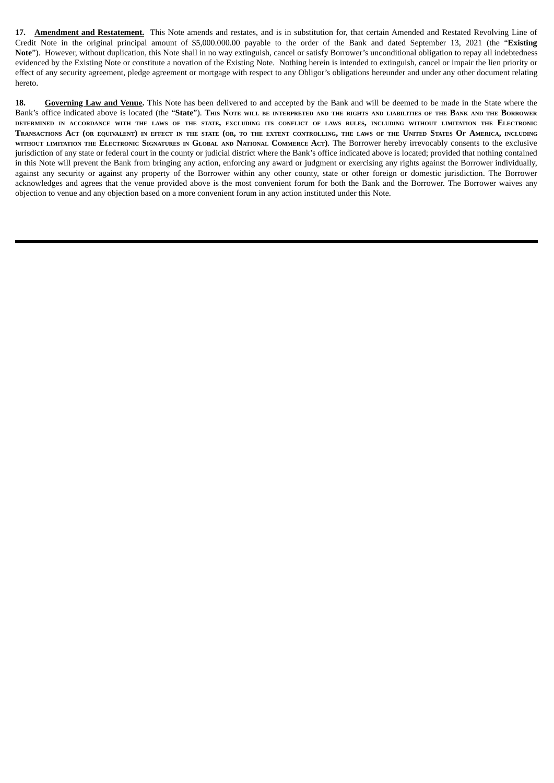**17. Amendment and Restatement.** This Note amends and restates, and is in substitution for, that certain Amended and Restated Revolving Line of Credit Note in the original principal amount of \$5,000.000.00 payable to the order of the Bank and dated September 13, 2021 (the "**Existing Note**"). However, without duplication, this Note shall in no way extinguish, cancel or satisfy Borrower's unconditional obligation to repay all indebtedness evidenced by the Existing Note or constitute a novation of the Existing Note. Nothing herein is intended to extinguish, cancel or impair the lien priority or effect of any security agreement, pledge agreement or mortgage with respect to any Obligor's obligations hereunder and under any other document relating hereto.

**18. Governing Law and Venue.** This Note has been delivered to and accepted by the Bank and will be deemed to be made in the State where the Bank's office indicated above is located (the "State"). This Note will be INTERPRETED AND THE RIGHTS AND LIABILITIES OF THE BANK AND THE BORROWER DETERMINED IN ACCORDANCE WITH THE LAWS OF THE STATE, EXCLUDING ITS CONFLICT OF LAWS RULES, INCLUDING WITHOUT LIMITATION THE ELECTRONIC TRANSACTIONS ACT (OR EQUIVALENT) IN EFFECT IN THE STATE (OR, TO THE EXTENT CONTROLLING, THE LAWS OF THE UNITED STATES OF AMERICA, INCLUDING WITHOUT LIMITATION THE ELECTRONIC SIGNATURES IN GLOBAL AND NATIONAL COMMERCE ACT). The BOITOWET hereby irrevocably consents to the exclusive jurisdiction of any state or federal court in the county or judicial district where the Bank's office indicated above is located; provided that nothing contained in this Note will prevent the Bank from bringing any action, enforcing any award or judgment or exercising any rights against the Borrower individually, against any security or against any property of the Borrower within any other county, state or other foreign or domestic jurisdiction. The Borrower acknowledges and agrees that the venue provided above is the most convenient forum for both the Bank and the Borrower. The Borrower waives any objection to venue and any objection based on a more convenient forum in any action instituted under this Note.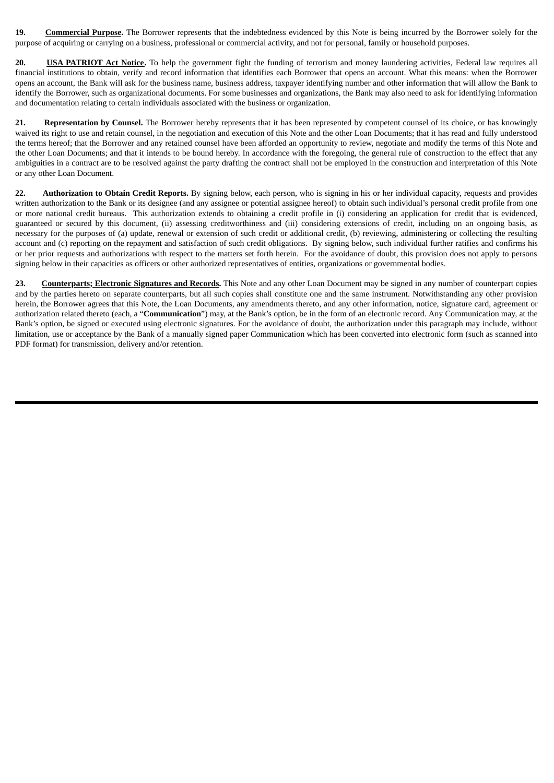**19. Commercial Purpose.** The Borrower represents that the indebtedness evidenced by this Note is being incurred by the Borrower solely for the purpose of acquiring or carrying on a business, professional or commercial activity, and not for personal, family or household purposes.

**20. USA PATRIOT Act Notice.** To help the government fight the funding of terrorism and money laundering activities, Federal law requires all financial institutions to obtain, verify and record information that identifies each Borrower that opens an account. What this means: when the Borrower opens an account, the Bank will ask for the business name, business address, taxpayer identifying number and other information that will allow the Bank to identify the Borrower, such as organizational documents. For some businesses and organizations, the Bank may also need to ask for identifying information and documentation relating to certain individuals associated with the business or organization.

**21. Representation by Counsel.** The Borrower hereby represents that it has been represented by competent counsel of its choice, or has knowingly waived its right to use and retain counsel, in the negotiation and execution of this Note and the other Loan Documents; that it has read and fully understood the terms hereof; that the Borrower and any retained counsel have been afforded an opportunity to review, negotiate and modify the terms of this Note and the other Loan Documents; and that it intends to be bound hereby. In accordance with the foregoing, the general rule of construction to the effect that any ambiguities in a contract are to be resolved against the party drafting the contract shall not be employed in the construction and interpretation of this Note or any other Loan Document.

**22. Authorization to Obtain Credit Reports.** By signing below, each person, who is signing in his or her individual capacity, requests and provides written authorization to the Bank or its designee (and any assignee or potential assignee hereof) to obtain such individual's personal credit profile from one or more national credit bureaus. This authorization extends to obtaining a credit profile in (i) considering an application for credit that is evidenced, guaranteed or secured by this document, (ii) assessing creditworthiness and (iii) considering extensions of credit, including on an ongoing basis, as necessary for the purposes of (a) update, renewal or extension of such credit or additional credit, (b) reviewing, administering or collecting the resulting account and (c) reporting on the repayment and satisfaction of such credit obligations. By signing below, such individual further ratifies and confirms his or her prior requests and authorizations with respect to the matters set forth herein. For the avoidance of doubt, this provision does not apply to persons signing below in their capacities as officers or other authorized representatives of entities, organizations or governmental bodies.

**23. Counterparts; Electronic Signatures and Records.** This Note and any other Loan Document may be signed in any number of counterpart copies and by the parties hereto on separate counterparts, but all such copies shall constitute one and the same instrument. Notwithstanding any other provision herein, the Borrower agrees that this Note, the Loan Documents, any amendments thereto, and any other information, notice, signature card, agreement or authorization related thereto (each, a "**Communication**") may, at the Bank's option, be in the form of an electronic record. Any Communication may, at the Bank's option, be signed or executed using electronic signatures. For the avoidance of doubt, the authorization under this paragraph may include, without limitation, use or acceptance by the Bank of a manually signed paper Communication which has been converted into electronic form (such as scanned into PDF format) for transmission, delivery and/or retention.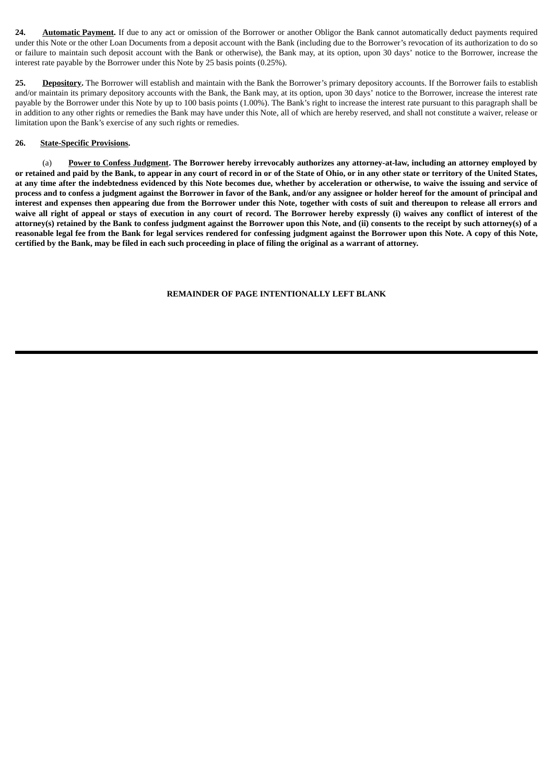**24. Automatic Payment.** If due to any act or omission of the Borrower or another Obligor the Bank cannot automatically deduct payments required under this Note or the other Loan Documents from a deposit account with the Bank (including due to the Borrower's revocation of its authorization to do so or failure to maintain such deposit account with the Bank or otherwise), the Bank may, at its option, upon 30 days' notice to the Borrower, increase the interest rate payable by the Borrower under this Note by 25 basis points (0.25%).

25. **Depository.** The Borrower will establish and maintain with the Bank the Borrower's primary depository accounts. If the Borrower fails to establish and/or maintain its primary depository accounts with the Bank, the Bank may, at its option, upon 30 days' notice to the Borrower, increase the interest rate payable by the Borrower under this Note by up to 100 basis points (1.00%). The Bank's right to increase the interest rate pursuant to this paragraph shall be in addition to any other rights or remedies the Bank may have under this Note, all of which are hereby reserved, and shall not constitute a waiver, release or limitation upon the Bank's exercise of any such rights or remedies.

#### **26. State-Specific Provisions.**

(a) Power to Confess Judgment. The Borrower hereby irrevocably authorizes any attorney-at-law, including an attorney employed by or retained and paid by the Bank, to appear in any court of record in or of the State of Ohio, or in any other state or territory of the United States, at any time after the indebtedness evidenced by this Note becomes due, whether by acceleration or otherwise, to waive the issuing and service of process and to confess a judgment against the Borrower in favor of the Bank, and/or any assignee or holder hereof for the amount of principal and interest and expenses then appearing due from the Borrower under this Note, together with costs of suit and thereupon to release all errors and waive all right of appeal or stays of execution in any court of record. The Borrower hereby expressly (i) waives any conflict of interest of the attorney(s) retained by the Bank to confess judgment against the Borrower upon this Note, and (ii) consents to the receipt by such attorney(s) of a reasonable legal fee from the Bank for legal services rendered for confessing judgment against the Borrower upon this Note. A copy of this Note, certified by the Bank, may be filed in each such proceeding in place of filing the original as a warrant of attorney.

### **REMAINDER OF PAGE INTENTIONALLY LEFT BLANK**